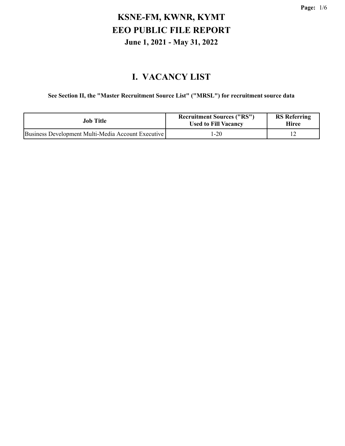#### **I. VACANCY LIST**

#### **See Section II, the "Master Recruitment Source List" ("MRSL") for recruitment source data**

| Job Title                                          | <b>Recruitment Sources ("RS")</b><br><b>Used to Fill Vacancy</b> | <b>RS</b> Referring<br><b>Hiree</b> |
|----------------------------------------------------|------------------------------------------------------------------|-------------------------------------|
| Business Development Multi-Media Account Executive | 1-20                                                             |                                     |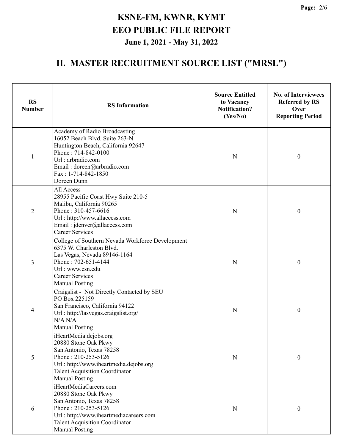| <b>RS</b><br><b>Number</b> | <b>RS</b> Information                                                                                                                                                                                                | <b>Source Entitled</b><br>to Vacancy<br><b>Notification?</b><br>(Yes/No) | <b>No. of Interviewees</b><br><b>Referred by RS</b><br>Over<br><b>Reporting Period</b> |
|----------------------------|----------------------------------------------------------------------------------------------------------------------------------------------------------------------------------------------------------------------|--------------------------------------------------------------------------|----------------------------------------------------------------------------------------|
| $\mathbf{1}$               | Academy of Radio Broadcasting<br>16052 Beach Blvd. Suite 263-N<br>Huntington Beach, California 92647<br>Phone: 714-842-0100<br>Url: arbradio.com<br>Email: doreen@arbradio.com<br>Fax: 1-714-842-1850<br>Doreen Dunn | $\mathbf N$                                                              | $\boldsymbol{0}$                                                                       |
| 2                          | All Access<br>28955 Pacific Coast Hwy Suite 210-5<br>Malibu, California 90265<br>Phone: 310-457-6616<br>Url: http://www.allaccess.com<br>Email: jdenver@allaccess.com<br><b>Career Services</b>                      | ${\bf N}$                                                                | $\boldsymbol{0}$                                                                       |
| 3                          | College of Southern Nevada Workforce Development<br>6375 W. Charleston Blvd.<br>Las Vegas, Nevada 89146-1164<br>Phone: 702-651-4144<br>Url: www.csn.edu<br><b>Career Services</b><br><b>Manual Posting</b>           | N                                                                        | $\boldsymbol{0}$                                                                       |
| 4                          | Craigslist - Not Directly Contacted by SEU<br>PO Box 225159<br>San Francisco, California 94122<br>Url: http://lasvegas.craigslist.org/<br>N/A N/A<br><b>Manual Posting</b>                                           | N                                                                        | $\boldsymbol{0}$                                                                       |
| 5                          | iHeartMedia.dejobs.org<br>20880 Stone Oak Pkwy<br>San Antonio, Texas 78258<br>Phone: 210-253-5126<br>Url: http://www.iheartmedia.dejobs.org<br><b>Talent Acquisition Coordinator</b><br><b>Manual Posting</b>        | N                                                                        | $\boldsymbol{0}$                                                                       |
| 6                          | iHeartMediaCareers.com<br>20880 Stone Oak Pkwy<br>San Antonio, Texas 78258<br>Phone: 210-253-5126<br>Url: http://www.iheartmediacareers.com<br><b>Talent Acquisition Coordinator</b><br><b>Manual Posting</b>        | N                                                                        | $\boldsymbol{0}$                                                                       |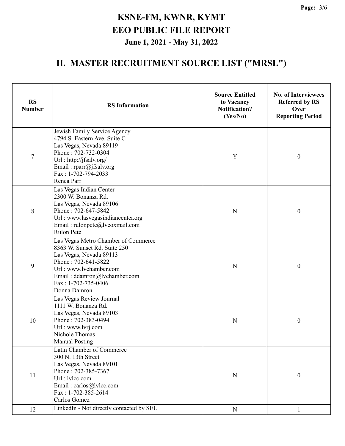| <b>RS</b><br><b>Number</b> | <b>RS</b> Information                                                                                                                                                                                                  | <b>Source Entitled</b><br>to Vacancy<br><b>Notification?</b><br>(Yes/No) | <b>No. of Interviewees</b><br><b>Referred by RS</b><br>Over<br><b>Reporting Period</b> |  |
|----------------------------|------------------------------------------------------------------------------------------------------------------------------------------------------------------------------------------------------------------------|--------------------------------------------------------------------------|----------------------------------------------------------------------------------------|--|
| $\overline{7}$             | Jewish Family Service Agency<br>4794 S. Eastern Ave. Suite C<br>Las Vegas, Nevada 89119<br>Phone: 702-732-0304<br>Url: http://jfsalv.org/<br>Email: rparr@jfsalv.org<br>Fax: 1-702-794-2033<br>Renea Parr              | Y                                                                        | $\boldsymbol{0}$                                                                       |  |
| 8                          | Las Vegas Indian Center<br>2300 W. Bonanza Rd.<br>Las Vegas, Nevada 89106<br>Phone: 702-647-5842<br>Url: www.lasvegasindiancenter.org<br>Email: rulonpete@lvcoxmail.com<br><b>Rulon Pete</b>                           | N                                                                        | $\boldsymbol{0}$                                                                       |  |
| 9                          | Las Vegas Metro Chamber of Commerce<br>8363 W. Sunset Rd. Suite 250<br>Las Vegas, Nevada 89113<br>Phone: 702-641-5822<br>Url: www.lvchamber.com<br>Email: ddamron@lvchamber.com<br>Fax: 1-702-735-0406<br>Donna Damron | N                                                                        | $\boldsymbol{0}$                                                                       |  |
| 10                         | Las Vegas Review Journal<br>1111 W. Bonanza Rd.<br>Las Vegas, Nevada 89103<br>Phone: 702-383-0494<br>Url : www.lvrj.com<br>Nichole Thomas<br><b>Manual Posting</b>                                                     | N                                                                        | $\boldsymbol{0}$                                                                       |  |
| 11                         | Latin Chamber of Commerce<br>300 N. 13th Street<br>Las Vegas, Nevada 89101<br>Phone: 702-385-7367<br>Url: lylcc.com<br>Email: carlos@lvlcc.com<br>Fax: 1-702-385-2614<br>Carlos Gomez                                  | N                                                                        | $\mathbf{0}$                                                                           |  |
| 12                         | LinkedIn - Not directly contacted by SEU                                                                                                                                                                               | $\mathbf N$                                                              | 1                                                                                      |  |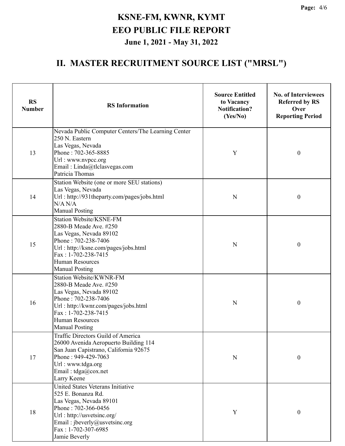| <b>RS</b><br><b>Number</b> | <b>RS</b> Information                                                                                                                                                                                                        | <b>Source Entitled</b><br>to Vacancy<br><b>Notification?</b><br>(Yes/No) | <b>No. of Interviewees</b><br><b>Referred by RS</b><br>Over<br><b>Reporting Period</b> |  |
|----------------------------|------------------------------------------------------------------------------------------------------------------------------------------------------------------------------------------------------------------------------|--------------------------------------------------------------------------|----------------------------------------------------------------------------------------|--|
| 13                         | Nevada Public Computer Centers/The Learning Center<br>250 N. Eastern<br>Las Vegas, Nevada<br>Phone: 702-365-8885<br>Url: www.nvpcc.org<br>Email: Linda@tlclasvegas.com<br>Patricia Thomas                                    | Y                                                                        | $\boldsymbol{0}$                                                                       |  |
| 14                         | Station Website (one or more SEU stations)<br>Las Vegas, Nevada<br>Url: http://931theparty.com/pages/jobs.html<br>N/A N/A<br><b>Manual Posting</b>                                                                           | N                                                                        | $\boldsymbol{0}$                                                                       |  |
| 15                         | Station Website/KSNE-FM<br>2880-B Meade Ave. #250<br>Las Vegas, Nevada 89102<br>Phone: 702-238-7406<br>Url: http://ksne.com/pages/jobs.html<br>Fax: 1-702-238-7415<br><b>Human Resources</b><br><b>Manual Posting</b>        | N                                                                        | $\boldsymbol{0}$                                                                       |  |
| 16                         | <b>Station Website/KWNR-FM</b><br>2880-B Meade Ave. #250<br>Las Vegas, Nevada 89102<br>Phone: 702-238-7406<br>Url: http://kwnr.com/pages/jobs.html<br>Fax: 1-702-238-7415<br><b>Human Resources</b><br><b>Manual Posting</b> | N                                                                        | $\boldsymbol{0}$                                                                       |  |
| 17                         | Traffic Directors Guild of America<br>26000 Avenida Aeropuerto Building 114<br>San Juan Capistrano, California 92675<br>Phone: 949-429-7063<br>Url: www.tdga.org<br>Email: $tdga@cox.net$<br>Larry Keene                     | N                                                                        | $\mathbf{0}$                                                                           |  |
| 18                         | United States Veterans Initiative<br>525 E. Bonanza Rd.<br>Las Vegas, Nevada 89101<br>Phone: 702-366-0456<br>Url: http://usvetsinc.org/<br>Email: jbeverly@usvetsinc.org<br>Fax: 1-702-307-6985<br>Jamie Beverly             | Y                                                                        | 0                                                                                      |  |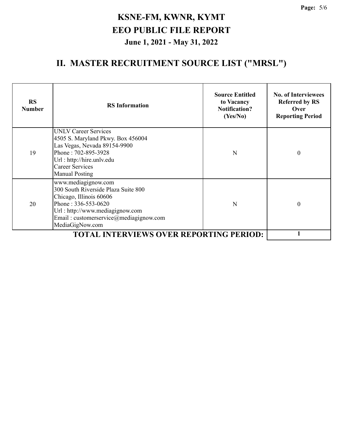| <b>RS</b><br><b>Number</b>                     | <b>RS</b> Information                                                                                                                                                                                              | <b>Source Entitled</b><br>to Vacancy<br><b>Notification?</b><br>(Yes/No) | <b>No. of Interviewees</b><br><b>Referred by RS</b><br>Over<br><b>Reporting Period</b> |
|------------------------------------------------|--------------------------------------------------------------------------------------------------------------------------------------------------------------------------------------------------------------------|--------------------------------------------------------------------------|----------------------------------------------------------------------------------------|
| 19                                             | <b>UNLV Career Services</b><br>4505 S. Maryland Pkwy. Box 456004<br>Las Vegas, Nevada 89154-9900<br>Phone: 702-895-3928<br>Url: http://hire.unlv.edu<br><b>Career Services</b><br><b>Manual Posting</b>            | N                                                                        | $\theta$                                                                               |
| 20                                             | www.mediagignow.com<br>300 South Riverside Plaza Suite 800<br>Chicago, Illinois 60606<br>Phone: $336 - 553 - 0620$<br>Url: http://www.mediagignow.com<br>Email: customerservice@mediagignow.com<br>MediaGigNow.com | N                                                                        | 0                                                                                      |
| <b>TOTAL INTERVIEWS OVER REPORTING PERIOD:</b> |                                                                                                                                                                                                                    |                                                                          |                                                                                        |